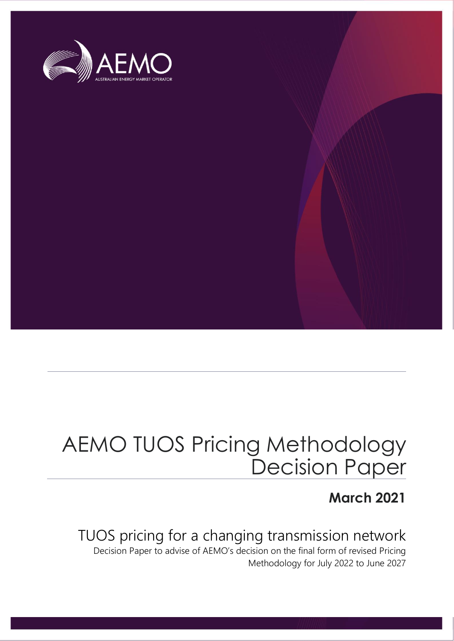

# AEMO TUOS Pricing Methodology Decision Paper

### **March 2021**

### TUOS pricing for a changing transmission network

Decision Paper to advise of AEMO's decision on the final form of revised Pricing Methodology for July 2022 to June 2027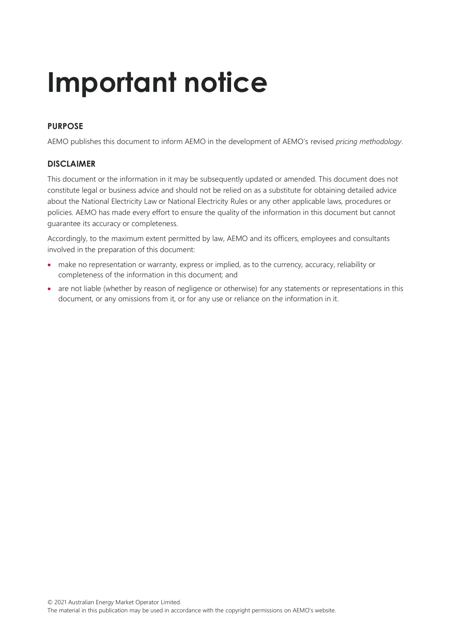# **Important notice**

#### **PURPOSE**

AEMO publishes this document to inform AEMO in the development of AEMO's revised *pricing methodology*.

#### **DISCLAIMER**

This document or the information in it may be subsequently updated or amended. This document does not constitute legal or business advice and should not be relied on as a substitute for obtaining detailed advice about the National Electricity Law or National Electricity Rules or any other applicable laws, procedures or policies. AEMO has made every effort to ensure the quality of the information in this document but cannot guarantee its accuracy or completeness.

Accordingly, to the maximum extent permitted by law, AEMO and its officers, employees and consultants involved in the preparation of this document:

- make no representation or warranty, express or implied, as to the currency, accuracy, reliability or completeness of the information in this document; and
- are not liable (whether by reason of negligence or otherwise) for any statements or representations in this document, or any omissions from it, or for any use or reliance on the information in it.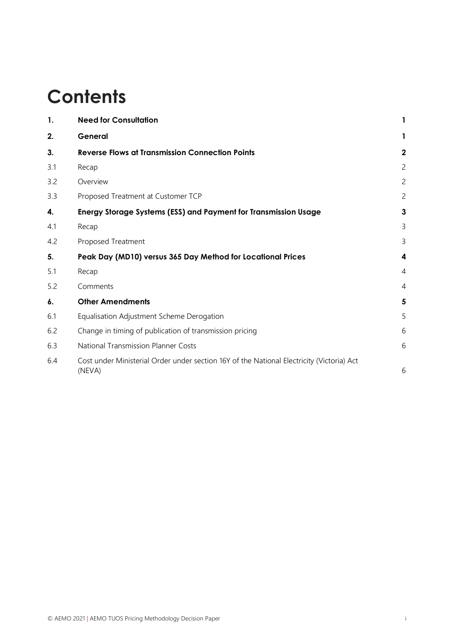## **Contents**

| 1.  | <b>Need for Consultation</b>                                                                        |                |
|-----|-----------------------------------------------------------------------------------------------------|----------------|
| 2.  | General                                                                                             |                |
| 3.  | <b>Reverse Flows at Transmission Connection Points</b>                                              | 2              |
| 3.1 | Recap                                                                                               | $\overline{c}$ |
| 3.2 | Overview                                                                                            | 2              |
| 3.3 | Proposed Treatment at Customer TCP                                                                  | 2              |
| 4.  | Energy Storage Systems (ESS) and Payment for Transmission Usage                                     | 3              |
| 4.1 | Recap                                                                                               | 3              |
| 4.2 | Proposed Treatment                                                                                  | 3              |
| 5.  | Peak Day (MD10) versus 365 Day Method for Locational Prices                                         | 4              |
| 5.1 | Recap                                                                                               | 4              |
| 5.2 | Comments                                                                                            | 4              |
| 6.  | <b>Other Amendments</b>                                                                             | 5              |
| 6.1 | Equalisation Adjustment Scheme Derogation                                                           | 5              |
| 6.2 | Change in timing of publication of transmission pricing                                             | 6              |
| 6.3 | <b>National Transmission Planner Costs</b>                                                          | 6              |
| 6.4 | Cost under Ministerial Order under section 16Y of the National Electricity (Victoria) Act<br>(NEVA) | 6              |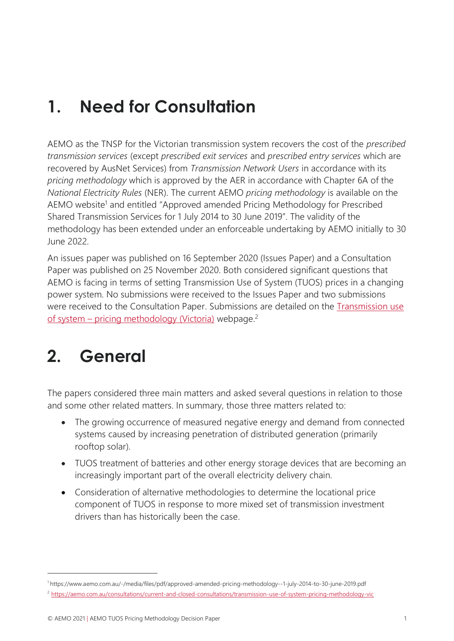### <span id="page-3-0"></span>**1. Need for Consultation**

AEMO as the TNSP for the Victorian transmission system recovers the cost of the *prescribed transmission services* (except *prescribed exit services* and *prescribed entry services* which are recovered by AusNet Services) from *Transmission Network Users* in accordance with its *pricing methodology* which is approved by the AER in accordance with Chapter 6A of the *National Electricity Rules* (NER). The current AEMO *pricing methodology* is available on the AEMO website<sup>1</sup> and entitled "Approved amended Pricing Methodology for Prescribed Shared Transmission Services for 1 July 2014 to 30 June 2019". The validity of the methodology has been extended under an enforceable undertaking by AEMO initially to 30 June 2022.

An issues paper was published on 16 September 2020 (Issues Paper) and a Consultation Paper was published on 25 November 2020. Both considered significant questions that AEMO is facing in terms of setting Transmission Use of System (TUOS) prices in a changing power system. No submissions were received to the Issues Paper and two submissions were received to the Consultation Paper. Submissions are detailed on the [Transmission use](https://aemo.com.au/consultations/current-and-closed-consultations/transmission-use-of-system-pricing-methodology-vic)  of system – [pricing methodology \(Victoria\)](https://aemo.com.au/consultations/current-and-closed-consultations/transmission-use-of-system-pricing-methodology-vic) webpage.<sup>2</sup>

### <span id="page-3-1"></span>**2. General**

The papers considered three main matters and asked several questions in relation to those and some other related matters. In summary, those three matters related to:

- The growing occurrence of measured negative energy and demand from connected systems caused by increasing penetration of distributed generation (primarily rooftop solar).
- TUOS treatment of batteries and other energy storage devices that are becoming an increasingly important part of the overall electricity delivery chain.
- Consideration of alternative methodologies to determine the locational price component of TUOS in response to more mixed set of transmission investment drivers than has historically been the case.

<sup>1</sup> <https://www.aemo.com.au/-/media/files/pdf/approved-amended-pricing-methodology--1-july-2014-to-30-june-2019.pdf> <sup>2</sup> <https://aemo.com.au/consultations/current-and-closed-consultations/transmission-use-of-system-pricing-methodology-vic>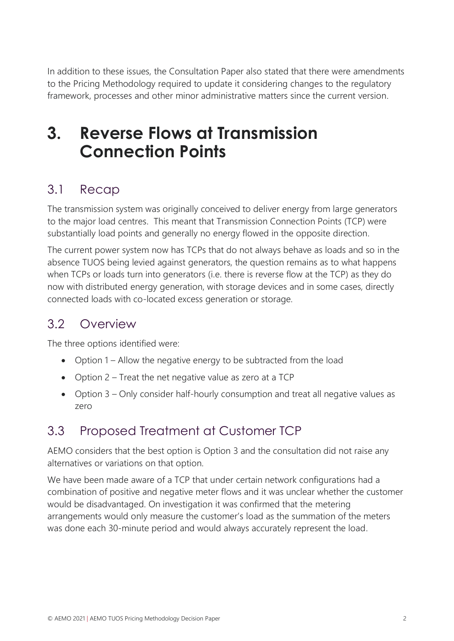In addition to these issues, the Consultation Paper also stated that there were amendments to the Pricing Methodology required to update it considering changes to the regulatory framework, processes and other minor administrative matters since the current version.

### <span id="page-4-0"></span>**3. Reverse Flows at Transmission Connection Points**

#### <span id="page-4-1"></span>3.1 Recap

The transmission system was originally conceived to deliver energy from large generators to the major load centres. This meant that Transmission Connection Points (TCP) were substantially load points and generally no energy flowed in the opposite direction.

The current power system now has TCPs that do not always behave as loads and so in the absence TUOS being levied against generators, the question remains as to what happens when TCPs or loads turn into generators (i.e. there is reverse flow at the TCP) as they do now with distributed energy generation, with storage devices and in some cases, directly connected loads with co-located excess generation or storage.

### <span id="page-4-2"></span>3.2 Overview

The three options identified were:

- Option 1 Allow the negative energy to be subtracted from the load
- Option 2 Treat the net negative value as zero at a TCP
- Option 3 Only consider half-hourly consumption and treat all negative values as zero

### <span id="page-4-3"></span>3.3 Proposed Treatment at Customer TCP

AEMO considers that the best option is Option 3 and the consultation did not raise any alternatives or variations on that option.

We have been made aware of a TCP that under certain network configurations had a combination of positive and negative meter flows and it was unclear whether the customer would be disadvantaged. On investigation it was confirmed that the metering arrangements would only measure the customer's load as the summation of the meters was done each 30-minute period and would always accurately represent the load.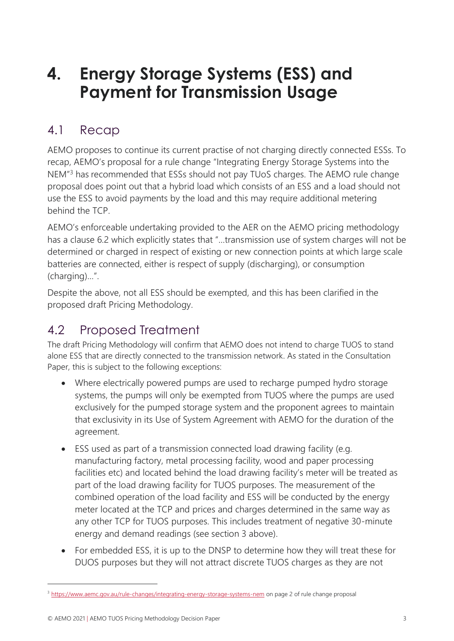### <span id="page-5-0"></span>**4. Energy Storage Systems (ESS) and Payment for Transmission Usage**

#### <span id="page-5-1"></span>4.1 Recap

AEMO proposes to continue its current practise of not charging directly connected ESSs. To recap, AEMO's proposal for a rule change "Integrating Energy Storage Systems into the NEM<sup>"3</sup> has recommended that ESSs should not pay TUoS charges. The AEMO rule change proposal does point out that a hybrid load which consists of an ESS and a load should not use the ESS to avoid payments by the load and this may require additional metering behind the TCP.

AEMO's enforceable undertaking provided to the AER on the AEMO pricing methodology has a clause 6.2 which explicitly states that "…transmission use of system charges will not be determined or charged in respect of existing or new connection points at which large scale batteries are connected, either is respect of supply (discharging), or consumption (charging)…".

Despite the above, not all ESS should be exempted, and this has been clarified in the proposed draft Pricing Methodology.

### <span id="page-5-2"></span>4.2 Proposed Treatment

The draft Pricing Methodology will confirm that AEMO does not intend to charge TUOS to stand alone ESS that are directly connected to the transmission network. As stated in the Consultation Paper, this is subject to the following exceptions:

- Where electrically powered pumps are used to recharge pumped hydro storage systems, the pumps will only be exempted from TUOS where the pumps are used exclusively for the pumped storage system and the proponent agrees to maintain that exclusivity in its Use of System Agreement with AEMO for the duration of the agreement.
- ESS used as part of a transmission connected load drawing facility (e.g. manufacturing factory, metal processing facility, wood and paper processing facilities etc) and located behind the load drawing facility's meter will be treated as part of the load drawing facility for TUOS purposes. The measurement of the combined operation of the load facility and ESS will be conducted by the energy meter located at the TCP and prices and charges determined in the same way as any other TCP for TUOS purposes. This includes treatment of negative 30-minute energy and demand readings (see section 3 above).
- For embedded ESS, it is up to the DNSP to determine how they will treat these for DUOS purposes but they will not attract discrete TUOS charges as they are not

<sup>&</sup>lt;sup>3</sup> <https://www.aemc.gov.au/rule-changes/integrating-energy-storage-systems-nem> on page 2 of rule change proposal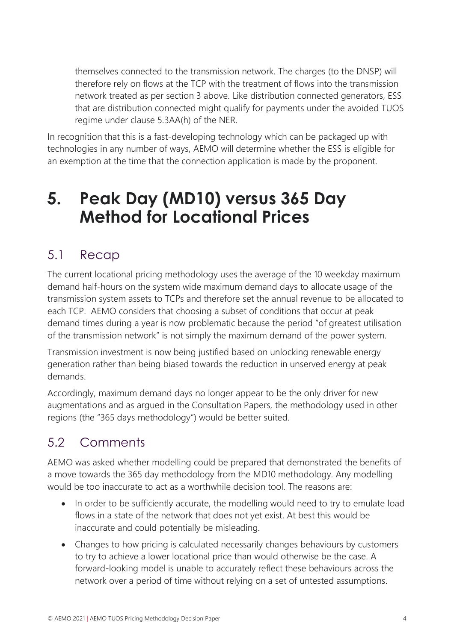themselves connected to the transmission network. The charges (to the DNSP) will therefore rely on flows at the TCP with the treatment of flows into the transmission network treated as per section 3 above. Like distribution connected generators, ESS that are distribution connected might qualify for payments under the avoided TUOS regime under clause 5.3AA(h) of the NER.

In recognition that this is a fast-developing technology which can be packaged up with technologies in any number of ways, AEMO will determine whether the ESS is eligible for an exemption at the time that the connection application is made by the proponent.

### <span id="page-6-0"></span>**5. Peak Day (MD10) versus 365 Day Method for Locational Prices**

### <span id="page-6-1"></span>5.1 Recap

The current locational pricing methodology uses the average of the 10 weekday maximum demand half-hours on the system wide maximum demand days to allocate usage of the transmission system assets to TCPs and therefore set the annual revenue to be allocated to each TCP. AEMO considers that choosing a subset of conditions that occur at peak demand times during a year is now problematic because the period "of greatest utilisation of the transmission network" is not simply the maximum demand of the power system.

Transmission investment is now being justified based on unlocking renewable energy generation rather than being biased towards the reduction in unserved energy at peak demands.

Accordingly, maximum demand days no longer appear to be the only driver for new augmentations and as argued in the Consultation Papers, the methodology used in other regions (the "365 days methodology") would be better suited.

### <span id="page-6-2"></span>5.2 Comments

AEMO was asked whether modelling could be prepared that demonstrated the benefits of a move towards the 365 day methodology from the MD10 methodology. Any modelling would be too inaccurate to act as a worthwhile decision tool. The reasons are:

- In order to be sufficiently accurate, the modelling would need to try to emulate load flows in a state of the network that does not yet exist. At best this would be inaccurate and could potentially be misleading.
- Changes to how pricing is calculated necessarily changes behaviours by customers to try to achieve a lower locational price than would otherwise be the case. A forward-looking model is unable to accurately reflect these behaviours across the network over a period of time without relying on a set of untested assumptions.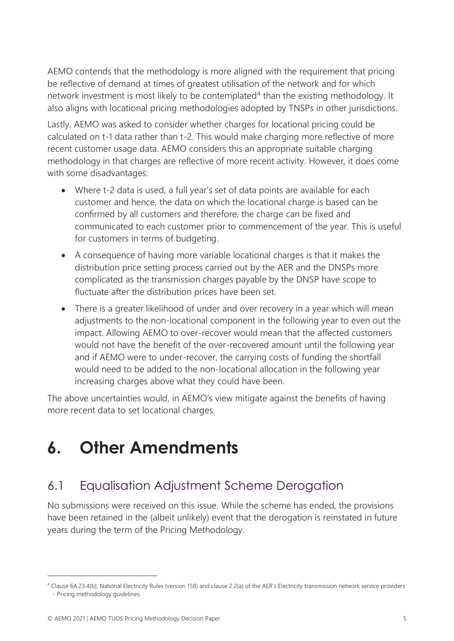AEMO contends that the methodology is more aligned with the requirement that pricing be reflective of demand at times of greatest utilisation of the network and for which network investment is most likely to be contemplated<sup>4</sup> than the existing methodology. It also aligns with locational pricing methodologies adopted by TNSPs in other jurisdictions.

Lastly, AEMO was asked to consider whether charges for locational pricing could be calculated on t-1 data rather than t-2. This would make charging more reflective of more recent customer usage data. AEMO considers this an appropriate suitable charging methodology in that charges are reflective of more recent activity. However, it does come with some disadvantages:

- Where t-2 data is used, a full year's set of data points are available for each customer and hence, the data on which the locational charge is based can be confirmed by all customers and therefore, the charge can be fixed and communicated to each customer prior to commencement of the year. This is useful for customers in terms of budgeting.
- A consequence of having more variable locational charges is that it makes the distribution price setting process carried out by the AER and the DNSPs more complicated as the transmission charges payable by the DNSP have scope to fluctuate after the distribution prices have been set.
- There is a greater likelihood of under and over recovery in a year which will mean adjustments to the non-locational component in the following year to even out the impact. Allowing AEMO to over-recover would mean that the affected customers would not have the benefit of the over-recovered amount until the following year and if AEMO were to under-recover, the carrying costs of funding the shortfall would need to be added to the non-locational allocation in the following year increasing charges above what they could have been.

The above uncertainties would, in AEMO's view mitigate against the benefits of having more recent data to set locational charges.

### <span id="page-7-0"></span>**6. Other Amendments**

### <span id="page-7-1"></span>6.1 Equalisation Adjustment Scheme Derogation

No submissions were received on this issue. While the scheme has ended, the provisions have been retained in the (albeit unlikely) event that the derogation is reinstated in future years during the term of the Pricing Methodology.

<sup>4</sup> Clause 6A.23.4(b), National Electricity Rules (version 158) and clause 2.2(a) of the AER's Electricity transmission network service providers - Pricing methodology guidelines.